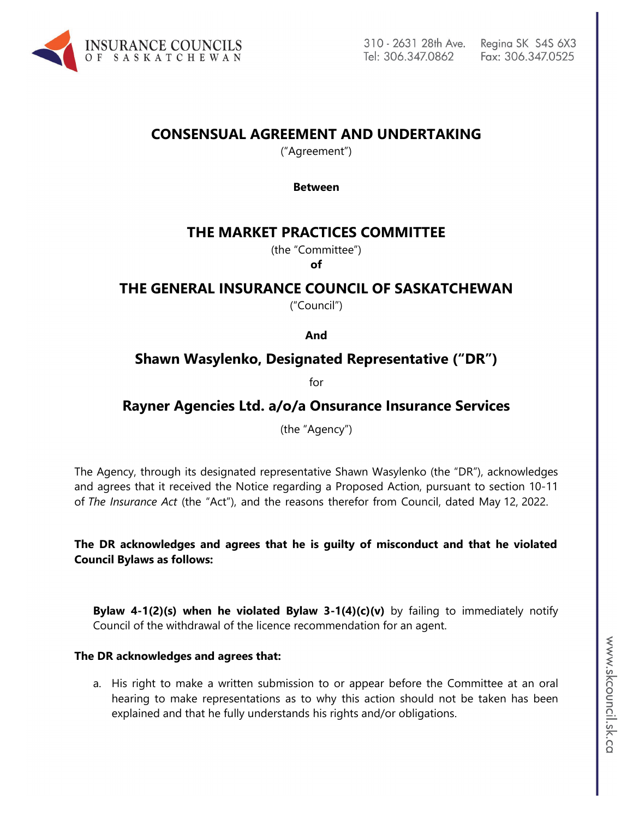

# **CONSENSUAL AGREEMENT AND UNDERTAKING**

("Agreement")

#### **Between**

## **THE MARKET PRACTICES COMMITTEE**

(the "Committee")

**of**

# **THE GENERAL INSURANCE COUNCIL OF SASKATCHEWAN**

("Council")

**And**

## **Shawn Wasylenko, Designated Representative ("DR")**

for

# **Rayner Agencies Ltd. a/o/a Onsurance Insurance Services**

(the "Agency")

The Agency, through its designated representative Shawn Wasylenko (the "DR"), acknowledges and agrees that it received the Notice regarding a Proposed Action, pursuant to section 10-11 of *The Insurance Act* (the "Act"), and the reasons therefor from Council, dated May 12, 2022.

**The DR acknowledges and agrees that he is guilty of misconduct and that he violated Council Bylaws as follows:** 

**Bylaw 4-1(2)(s) when he violated Bylaw 3-1(4)(c)(v)** by failing to immediately notify Council of the withdrawal of the licence recommendation for an agent.

#### **The DR acknowledges and agrees that:**

a. His right to make a written submission to or appear before the Committee at an oral hearing to make representations as to why this action should not be taken has been explained and that he fully understands his rights and/or obligations.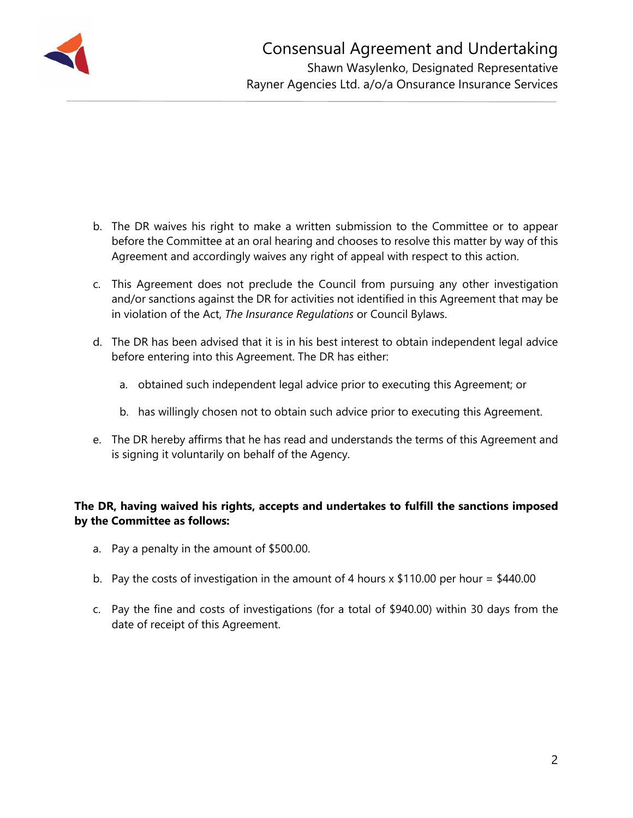

- b. The DR waives his right to make a written submission to the Committee or to appear before the Committee at an oral hearing and chooses to resolve this matter by way of this Agreement and accordingly waives any right of appeal with respect to this action.
- c. This Agreement does not preclude the Council from pursuing any other investigation and/or sanctions against the DR for activities not identified in this Agreement that may be in violation of the Act, *The Insurance Regulations* or Council Bylaws.
- d. The DR has been advised that it is in his best interest to obtain independent legal advice before entering into this Agreement. The DR has either:
	- a. obtained such independent legal advice prior to executing this Agreement; or
	- b. has willingly chosen not to obtain such advice prior to executing this Agreement.
- e. The DR hereby affirms that he has read and understands the terms of this Agreement and is signing it voluntarily on behalf of the Agency.

## **The DR, having waived his rights, accepts and undertakes to fulfill the sanctions imposed by the Committee as follows:**

- a. Pay a penalty in the amount of \$500.00.
- b. Pay the costs of investigation in the amount of 4 hours  $x$  \$110.00 per hour = \$440.00
- c. Pay the fine and costs of investigations (for a total of \$940.00) within 30 days from the date of receipt of this Agreement.